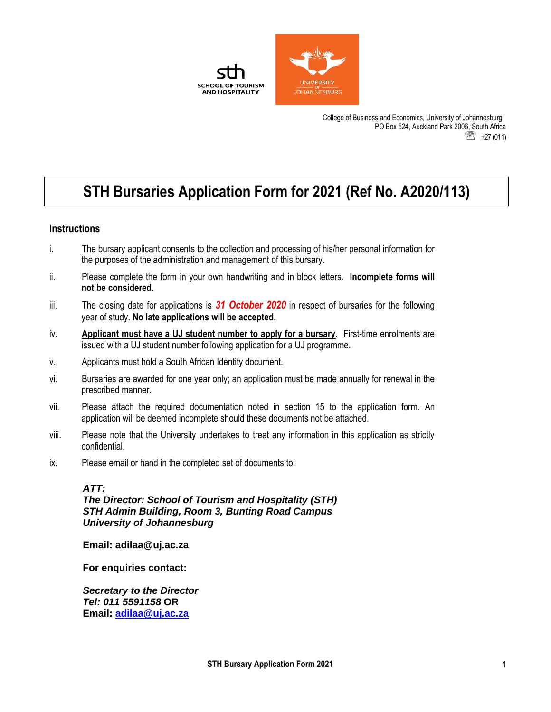

College of Business and Economics, University of Johannesburg PO Box 524, Auckland Park 2006, South Africa **<sup><sup>3</sup>** +27 (011)</sup>

# **STH Bursaries Application Form for 2021 (Ref No. A2020/113)**

#### **Instructions**

- i. The bursary applicant consents to the collection and processing of his/her personal information for the purposes of the administration and management of this bursary.
- ii. Please complete the form in your own handwriting and in block letters. **Incomplete forms will not be considered.**
- iii. The closing date for applications is *31 October 2020* in respect of bursaries for the following year of study. **No late applications will be accepted.**
- iv. **Applicant must have a UJ student number to apply for a bursary**. First-time enrolments are issued with a UJ student number following application for a UJ programme.
- v. Applicants must hold a South African Identity document.
- vi. Bursaries are awarded for one year only; an application must be made annually for renewal in the prescribed manner.
- vii. Please attach the required documentation noted in section 15 to the application form. An application will be deemed incomplete should these documents not be attached.
- viii. Please note that the University undertakes to treat any information in this application as strictly confidential.
- ix. Please email or hand in the completed set of documents to:

#### *ATT:*

*The Director: School of Tourism and Hospitality (STH) STH Admin Building, Room 3, Bunting Road Campus University of Johannesburg*

**Email: adilaa@uj.ac.za**

**For enquiries contact:** 

*Secretary to the Director Tel: 011 5591158* **OR Email: [adilaa@uj.ac.za](mailto:adilaa@uj.ac.za)**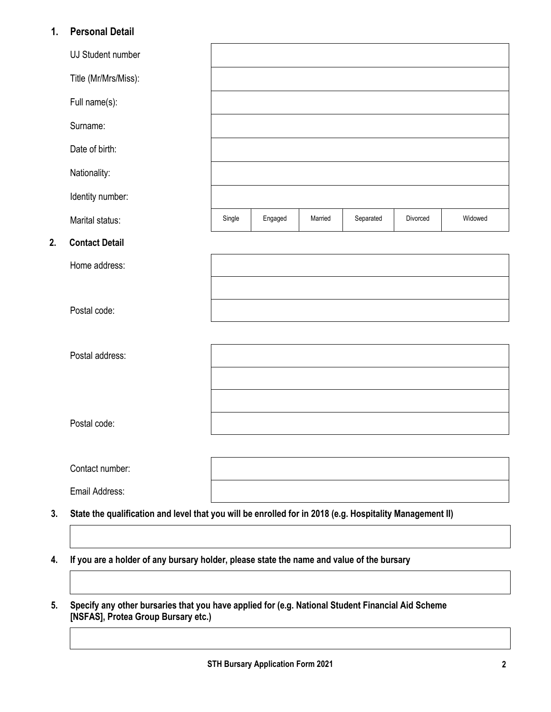## **1. Personal Detail**

|    | UJ Student number                                                                                        |        |         |         |           |          |         |
|----|----------------------------------------------------------------------------------------------------------|--------|---------|---------|-----------|----------|---------|
|    | Title (Mr/Mrs/Miss):                                                                                     |        |         |         |           |          |         |
|    | Full name(s):                                                                                            |        |         |         |           |          |         |
|    | Surname:                                                                                                 |        |         |         |           |          |         |
|    | Date of birth:                                                                                           |        |         |         |           |          |         |
|    | Nationality:                                                                                             |        |         |         |           |          |         |
|    | Identity number:                                                                                         |        |         |         |           |          |         |
|    | Marital status:                                                                                          | Single | Engaged | Married | Separated | Divorced | Widowed |
| 2. | <b>Contact Detail</b>                                                                                    |        |         |         |           |          |         |
|    | Home address:                                                                                            |        |         |         |           |          |         |
|    |                                                                                                          |        |         |         |           |          |         |
|    | Postal code:                                                                                             |        |         |         |           |          |         |
|    |                                                                                                          |        |         |         |           |          |         |
|    | Postal address:                                                                                          |        |         |         |           |          |         |
|    |                                                                                                          |        |         |         |           |          |         |
|    |                                                                                                          |        |         |         |           |          |         |
|    | Postal code:                                                                                             |        |         |         |           |          |         |
|    |                                                                                                          |        |         |         |           |          |         |
|    | Contact number:                                                                                          |        |         |         |           |          |         |
|    | Email Address:                                                                                           |        |         |         |           |          |         |
| 3. | State the qualification and level that you will be enrolled for in 2018 (e.g. Hospitality Management II) |        |         |         |           |          |         |
|    |                                                                                                          |        |         |         |           |          |         |
| 4. | If you are a holder of any bursary holder, please state the name and value of the bursary                |        |         |         |           |          |         |
|    |                                                                                                          |        |         |         |           |          |         |

**5. Specify any other bursaries that you have applied for (e.g. National Student Financial Aid Scheme [NSFAS], Protea Group Bursary etc.)**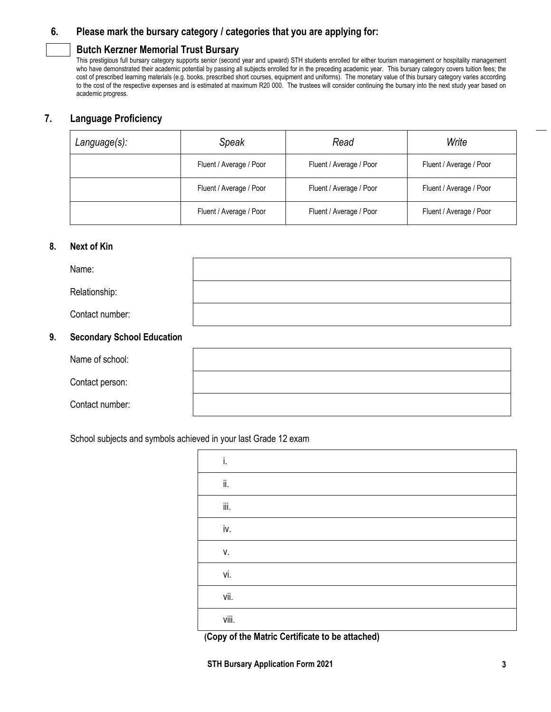## **6. Please mark the bursary category / categories that you are applying for:**

## **Butch Kerzner Memorial Trust Bursary**

This prestigious full bursary category supports senior (second year and upward) STH students enrolled for either tourism management or hospitality management who have demonstrated their academic potential by passing all subjects enrolled for in the preceding academic year. This bursary category covers tuition fees; the cost of prescribed learning materials (e.g. books, prescribed short courses, equipment and uniforms). The monetary value of this bursary category varies according to the cost of the respective expenses and is estimated at maximum R20 000. The trustees will consider continuing the bursary into the next study year based on academic progress.

## **7. Language Proficiency**

| Language(s): | Speak                   | Read                    | Write                   |
|--------------|-------------------------|-------------------------|-------------------------|
|              | Fluent / Average / Poor | Fluent / Average / Poor | Fluent / Average / Poor |
|              | Fluent / Average / Poor | Fluent / Average / Poor | Fluent / Average / Poor |
|              | Fluent / Average / Poor | Fluent / Average / Poor | Fluent / Average / Poor |

#### **8. Next of Kin**

|    | Name:                             |  |
|----|-----------------------------------|--|
|    | Relationship:                     |  |
|    | Contact number:                   |  |
| 9. | <b>Secondary School Education</b> |  |
|    | Name of school:                   |  |
|    | Contact person:                   |  |
|    | Contact number:                   |  |

School subjects and symbols achieved in your last Grade 12 exam

| i.    |  |  |
|-------|--|--|
| ii.   |  |  |
| iii.  |  |  |
| iv.   |  |  |
| V.    |  |  |
| vi.   |  |  |
| vii.  |  |  |
| viii. |  |  |

**(Copy of the Matric Certificate to be attached)**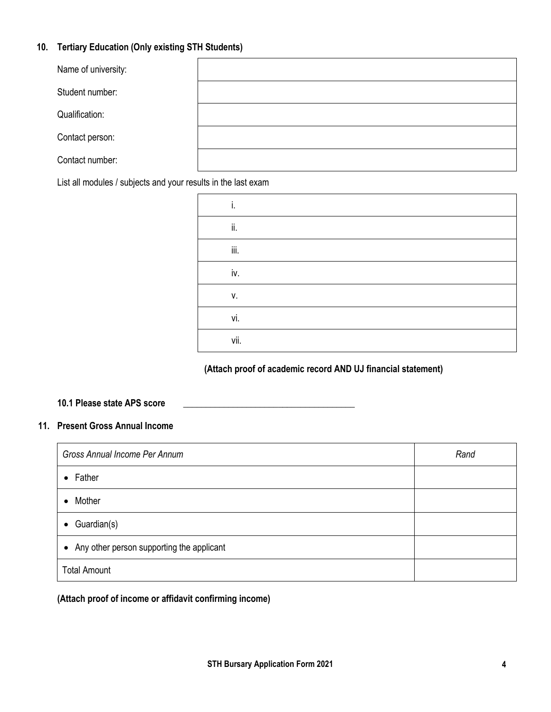## **10. Tertiary Education (Only existing STH Students)**

| Name of university: |  |
|---------------------|--|
| Student number:     |  |
| Qualification:      |  |
| Contact person:     |  |
| Contact number:     |  |

List all modules / subjects and your results in the last exam

| i.   |  |
|------|--|
| ii.  |  |
| iii. |  |
| iv.  |  |
| ٧.   |  |
| vi.  |  |
| vii. |  |

## **(Attach proof of academic record AND UJ financial statement)**

#### **10.1 Please state APS score \_\_\_\_\_\_\_\_\_\_\_\_\_\_\_\_\_\_\_\_\_\_\_\_\_\_\_\_\_\_\_\_\_\_\_\_\_\_**

## **11. Present Gross Annual Income**

| Gross Annual Income Per Annum               | Rand |
|---------------------------------------------|------|
| $\bullet$ Father                            |      |
| Mother<br>$\bullet$                         |      |
| $\bullet$ Guardian(s)                       |      |
| • Any other person supporting the applicant |      |
| <b>Total Amount</b>                         |      |

**(Attach proof of income or affidavit confirming income)**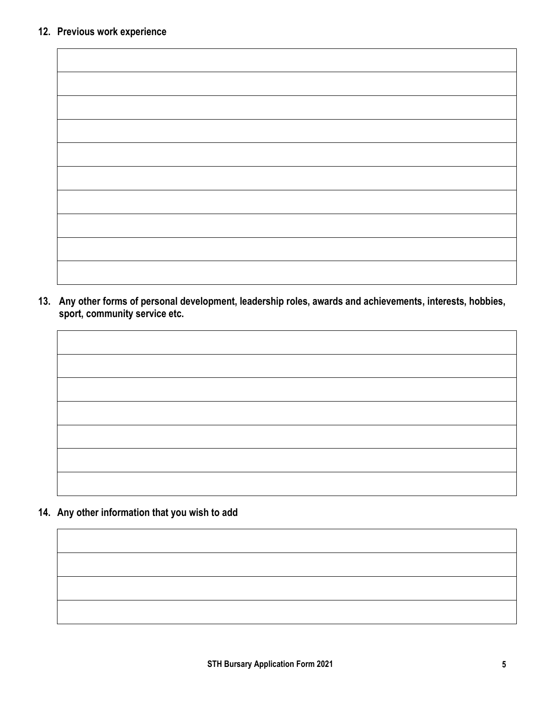$\blacksquare$ 

**13. Any other forms of personal development, leadership roles, awards and achievements, interests, hobbies, sport, community service etc.**



**14. Any other information that you wish to add**